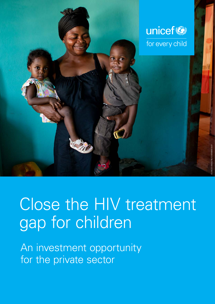

# Close the HIV treatment gap for children

An investment opportunity for the private sector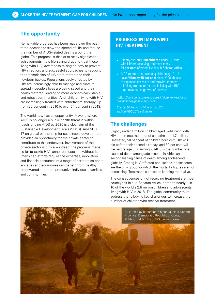# **The opportunity**

Remarkable progress has been made over the past three decades to slow the spread of HIV and reduce the number of AIDS-related deaths around the globe. This progress is thanks to many significant achievements: new life-saving drugs to treat those living with HIV, awareness raising on how to prevent HIV infection, and successful approaches to reducing the transmission of HIV from mothers to their newborn babies. Populations badly affected by HIV are increasingly able to manage and slow its spread – people's lives are being saved and their health restored, leading to more economically stable and robust communities. And, children living with HIV are increasingly treated with antiretroviral therapy, up from 20 per cent in 2010 to over 54 per cent in 2018.

The world now has an opportunity. A world where AIDS is no longer a public health threat is within reach: ending AIDS by 2030 is a clear aim of the Sustainable Development Goals (SDGs). And SDG 17 on global partnership for sustainable development provides an opportunity for the private sector to contribute to this endeavour. Involvement of the private sector is critical – indeed, the progress made so far to tackle HIV cannot be sustained without it. Intensified efforts require the expertise, innovation and financial resources of a range of partners so entire societies and economies can benefit from healthy, empowered and more productive individuals, families and communities.

# **PROGRESS IN IMPROVING HIV TREATMENT**

- Slightly over **941,000 children** under 15 living with HIV are receiving treatment today, **89 per cent** of whom live in sub-Saharan Africa.
- AIDS-related deaths among children age 0-14 have **fallen by 65 per cent** since 2000, thanks to expanded access to antiretroviral therapy, a lifelong treatment for people living with HIV that prevents the growth of the virus.

*<[https://data.unicef.org/resources/children-hiv-and-aids](https://data.unicef.org/resources/children-hiv-and-aids-global-and-regional-snapshots)[global-and-regional-snapshots>](https://data.unicef.org/resources/children-hiv-and-aids-global-and-regional-snapshots)*

*Source: Global AIDS Monitoring 2019 and UNAIDS 2019 estimates* 

# **The challenges**

Slightly under 1 million children aged 0–14 living with HIV are on treatment out of an estimated 1.7 million. Untreated, 50 per cent of children born with HIV will die before their second birthday, and 80 per cent will die before age 5. Alarmingly, AIDS is the number one cause of death among adolescents in Africa and the second leading cause of death among adolescents globally. Among HIV-affected populations, adolescents are the only group for which the mortality figures are not decreasing. Treatment is critical to keeping them alive.

The consequences of not receiving treatment are most acutely felt in sub-Saharan Africa, home to nearly 9 in 10 of the world's 2.8 million children and adolescents living with HIV in 2018. The global community must address the following key challenges to increase the number of children who receive treatment.

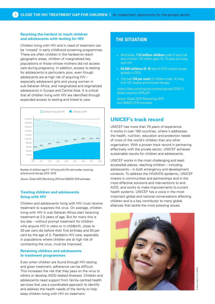## **Reaching the hardest to reach children and adolescents with testing for HIV**

Children living with HIV and in need of treatment can be 'missed' in early childhood screening programmes. These are often children in the hardest-to-reach geographic areas, children of marginalized key populations or those whose mothers did not access care during pregnancy. In addition, access to testing for adolescents is particularly poor, even though adolescents are at high risk of acquiring HIV – especially adolescent girls and young women in sub-Saharan Africa, and marginalized and stigmatized adolescents in Europe and Central Asia. It is critical that all children living with HIV are identified through expanded access to testing and linked to care.



Number of children aged 0–14 living with HIV and number receiving antiretroviral therapy 2010–2018

*Source: Global AIDS Monitoring 2019 and UNAIDS 2019 estimates* 

## **Treating children and adolescents living with HIV**

Children and adolescents living with HIV must receive treatment to suppress the virus. On average, children living with HIV in sub-Saharan Africa start receiving treatment at 3.5 years of age. But for many this is too late – without prompt treatment for children who acquire HIV in utero or in childbirth, close to 30 per cent die before their first birthday and 50 per cent by the age of 2. Paediatric HIV care, especially in populations where children are at high risk of contracting the virus, must be improved.

## **Retaining children and adolescents in treatment programmes**

Even when children are found through HIV testing and given treatment, adherence can be difficult. This increases the risk that they pass on the virus to others or develop AIDS-related illnesses. Children and adolescents need support from family-centred health services that use a coordinated approach to identify and address the health needs of the family to help keep children living with HIV on treatment.

# **THE SITUATION**

- Worldwide, **1.12 million children** under 9 years old and a further 1.65 million aged 10–19 years are living with HIV.
- **84,000 children (0–9)** died of AIDS-related causes globally in 2018.
- Only half **(54 per cent)** of children under 14 living with HIV receive antiretroviral therapy.

*<[https://data.unicef.org/wp-content/uploads/2018/11/](http://) [Global-snapshot-2018.pdf](http://)>*

*Source: Global AIDS Monitoring 2019 and UNAIDS 2019 estimates* 

# **UNICEF's track record**

UNICEF has more than 70 years of experience. It works in over 190 countries, where it addresses the health, nutrition, education and protection needs of more of the world's children than any other organization. With a proven track record in partnering effectively with the private sector, UNICEF achieves sustainable results for children and adolescents.

UNICEF works in the most challenging and least accessible places, reaching children – including adolescents – in both emergency and development contexts. To address the HIV/AIDS epidemic, UNICEF invests in communities and partnerships and in the most effective solutions and interventions to end AIDS, and works to make improvements to current health systems. UNICEF has a voice in the most important global and national conversations affecting children and is a key contributor to many global alliances that tackle the most pressing issues.

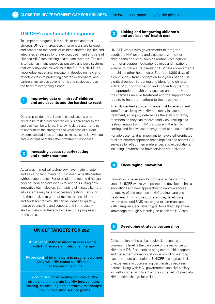## **UNICEF's sustainable response**

To jumpstart progress, it is crucial to test and treat children. UNICEF makes sure interventions are tailored and adapted to the needs of children affected by HIV, and integrates strategies for prevention, treatment and care of HIV and AIDS into existing health-care systems. The aim is to reach as many people as possible and build systems that work now and as well as in the future. UNICEF is a knowledge leader and innovator in developing new and effective ways of protecting children everywhere, and partnerships across governments and societies are at the heart of everything it does.



## **<sup>1</sup> Improving data on 'missed' children and adolescents and the hardest to reach**

Data help to identify children and adolescents who need to be tested and how the virus is spreading so the approach can be tailored. Improving data systems helps to understand the strengths and weakness of current systems and addresses inequities in access to knowledge, care and treatment that affect treatment responses.



## **<sup>2</sup> Increasing access to early testing and timely treatment**

Advances in medical technology have made it faster and easier to test infants for HIV, even in health centres without laboratories. For example, the testing time can now be reduced from weeks to just hours using new, innovative technologies. Self-testing eliminates barriers adolescents may face to accessing testing. Reducing the time it takes to get test results means children and adolescents with HIV can be identified quickly, receive counselling and support, and immediately start antiretroviral therapy to prevent the progression of the virus.

## **UNICEF TARGETS FOR 2021**

81 per cent of those under 14 years living with HIV receive antiretroviral therapy

64 per cent of infants born to pregnant women living with HIV tested for HIV in the first two months of life

32 countries implementing policies and/or strategies to integrate key HIV interventions (testing, counselling and antiretroviral therapy) into child-centred service points

$$
\mathbf{3}^{\top}
$$

## **Linking and integrating children's and adolescents' health care**

UNICEF works with governments to integrate paediatric HIV testing and treatment with other child health services (such as routine vaccinations, nutritional support, outpatient clinics and inpatient wards), to make sure paediatric HIV care complements the child's other health care. The first 1,000 days of a child's life – from conception to 2 years of age – is a critical period. Screening and identifying children with HIV during this period and connecting them to the appropriate health services can ensure they and their families receive treatment and the support they require to help them adhere to their treatment.

A family-centred approach means that for every client identified as living with HIV or already in care and treatment, an inquiry determines the status of family members so they can receive family counselling and testing, support with HIV disclosure in the family setting, and family case management at a health facility.

For adolescents, it is important to have a differentiated or client-centred approach that simplifies and adapts HIV services to reflect their preferences and expectations, including in where and how services are delivered.



### **4 Encouraging innovation**

Innovation is necessary for progress across priority areas. UNICEF works with partners to develop technical innovations and new approaches to improve access to, uptake of and retention in HIV testing, care and treatment. This includes, for example, developing systems to send SMS messages to communicate with caregivers, and other digital tools that help share knowledge through e-learning on paediatric HIV care.



#### **5 Developing strategic partnerships**

Collaboration at the global, regional, national and community level is the backbone of the response to HIV and AIDS. Partnerships bring communities together and make them more robust while providing a strong base for future generations. UNICEF has a great deal of experience in coordinating partnerships between persons living with HIV, governments and civil society, as well as other significant actors in the field of paediatric HIV, to drive change for children.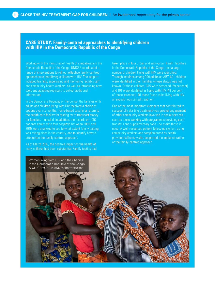## **CASE STUDY: Family-centred approaches to identifying children with HIV in the Democratic Republic of the Congo**

Working with the ministries of health of Zimbabwe and the Democratic Republic of the Congo, UNICEF coordinated a range of interventions to roll out effective family-centred approaches to identifying children with HIV. The support included training, supervising and mentoring facility staff and community health workers, as well as introducing new tools and adapting registers to collect additional information.

In the Democratic Republic of the Congo, the families with adults and children living with HIV received a choice of options over six months: home-based testing or return to the health care facility for testing, with transport money for families, if needed. In addition, the records of 1,057 patients admitted to four hospitals between 2008 and 2015 were analysed to see to what extent family testing was taking place in the country, and to identify how to strengthen the family-centred approach.

As of March 2017, the positive impact on the health of many children had been substantial. Family testing had taken place in four urban and semi-urban health facilities in the Democratic Republic of the Congo, and a large number of children living with HIV were identified. Through inquiries among 309 adults on ART, 631 children were identified in their families whose status was not known. Of those children, 375 were screened (59 per cent) and 161 were identified as living with HIV (43 per cent of those screened). Of those found to be living with HIV, all except two started treatment.

One of the most important elements that contributed to successfully starting treatment was greater engagement of other community workers involved in social services – such as those working with programmes providing cash transfers and supplementary food – to assist those in need. A well-resourced patient follow-up system, using community workers and complemented by health provider-led home visits, supported the implementation of the family-centred approach.

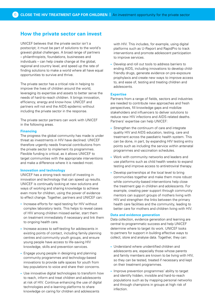# **How the private sector can invest**

UNICEF believes that the private sector isn't a postscript; it must be part of solutions to the world's gravest global challenges. A broad range of partners – philanthropists, foundations, businesses and individuals – can help create change at the global, regional and country level, and speed up the rate of finding solutions to make a world where all have equal opportunities to survive and thrive.

The private sector has a critical role in helping to improve the lives of children around the world, leveraging its expertise and assets to better serve the needs of hard-to-reach children. It brings innovation, efficiency, energy and know-how. UNICEF and partners will not end the AIDS epidemic without including the private sector in the response.

The private sector partners can work with UNICEF in the following areas.

#### **Financing**

The progress the global community has made is under threat as investments in HIV have declined. UNICEF therefore urgently needs financial contributions from the private sector to implement its programmes. Flexible funding is critical, as it allows UNICEF to target communities with the appropriate interventions and make a difference where it is needed most.

#### **Innovation and technology**

UNICEF has a strong track record of investing in innovation and technology that can speed up results. UNICEF is continually looking at new solutions and ways of working and sharing knowledge to achieve even more for children, using the power of evidence to effect change. Together, partners and UNICEF can:

- Increase efforts for rapid testing for HIV without complex laboratory tests. This helps to reveal cases of HIV among children missed earlier, start them on treatment immediately if necessary and link them to ongoing health care.
- Increase access to self-testing for adolescents in existing points of contact, including family planning centres and community youth groups, and ensure young people have access to life-saving HIV knowledge, skills and prevention services.
- Engage young people in designing and planning community programmes and technology-based innovations to provide safe spaces for youth from key populations to voice and share their concerns.
- Use innovative digital technologies to transform how to reach, inform and treat children and adolescents at risk of HIV. Continue enhancing the use of digital technologies and e-learning platforms to share knowledge on caring for children and adolescents

with HIV. This includes, for example, using digital platforms such as U-Report and RapidPro to track interventions and promote adolescent participation to improve services.

• Develop and roll out tools to address barriers to ending AIDS, including innovations to develop childfriendly drugs, generate evidence on pre-exposure prophylaxis and create new ways to improve access to, and ease of, testing and treating children and adolescents.

#### **Expertise**

Partners from a range of fields, sectors and industries are needed to contribute new approaches and fresh perspectives, fill knowledge gaps and mobilize stakeholders and influencers to deliver solutions to reduce new HIV infections and AIDS-related deaths. Partners' expertise can help UNICEF:

- Strengthen the continuum of care and integrate quality HIV and AIDS education, testing, care and treatment across the paediatric health system. This can be done, in part, by expanding HIV testing entry points such as including the service within antenatal programmes and vaccination schedules.
- Work with community networks and leaders and use platforms such as child health weeks to expand testing and improve access to antiretroviral therapy.
- Develop partnerships at the local level to bring communities together and make them more robust while community-based interventions help close the treatment gap in children and adolescents. For example, creating peer support through community mentors can support groups of mothers living with HIV and strengthen the links between the primary health care facilities and the community, leading to better care for mothers and children living with HIV.

## **Data and evidence generation**

Data collection, evidence generation and learning are central to programmatic success and help UNICEF determine where to target its work. UNICEF looks to partners for support in building effective ways to collect, store and analyse data. Together, they can:

- Understand where unidentified children and adolescents are, especially those whose parents and family members are known to be living with HIV, so they can be tested, treated if necessary and kept on their treatment programmes.
- Improve prevention programmes' ability to target and identify hidden, invisible and hard-to-reach populations such as by mapping personal networks and through champions in groups at high risk of infection.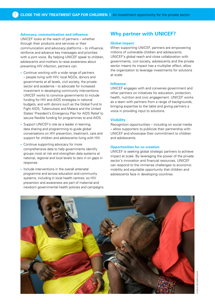### **Advocacy, communication and influence**

UNICEF looks at the reach of partners – whether through their products and services or their communication and advocacy platforms – to influence, reinforce and advance key messages and priorities with a joint voice. By helping UNICEF speak to children, adolescents and mothers to raise awareness about preventing HIV infection, partners can:

- Continue working with a wide range of partners – people living with HIV, local NGOs, donors and governments at all levels, civil society, the private sector and academia – to advocate for increased investment in developing community interventions. UNICEF works to convince governments to include funding for HIV and AIDS strategies in national budgets, and with donors such as the Global Fund to Fight AIDS, Tuberculosis and Malaria and the United States' President's Emergency Plan for AIDS Relief to secure flexible funding for programmes to end AIDS.
- Support UNICEF's role as a leader in learning, data sharing and programming to guide global conversations on HIV prevention, treatment, care and support for children and adolescents living with HIV.
- Continue supporting advocacy for more comprehensive data to help governments identify groups most at risk and strengthen data systems at national, regional and local levels to zero in on gaps in response.
- Include interventions in the overall antenatal programme and across education and community systems, including in local health centres, so HIV prevention and awareness are part of maternal and newborn governmental health policies and campaigns.

# **Why partner with UNICEF?**

#### **Global impact**

When supporting UNICEF, partners are empowering millions of vulnerable children and adolescents. UNICEF's global reach and close collaboration with governments, civil society, adolescents and the private sector means its impact has a multiplier effect, allow the organization to leverage investments for solutions at scale.

#### **Influence**

UNICEF engages with and convenes government and other partners on initiatives for education, protection, health, nutrition and civic engagement. UNICEF works as a team with partners from a range of backgrounds, bringing expertise to the table and giving partners a voice in providing input to solutions.

#### **Visibility**

Recognition opportunities – including on social media – allow supporters to publicize their partnership with UNICEF and showcase their commitment to children and adolescents.

#### **Opportunities for co-creation**

UNICEF is seeking global strategic partners to achieve impact at scale. By leveraging the power of the private sector's innovation and financial resources, UNICEF can respond to the immense challenges to economic mobility and equitable opportunity that children and adolescents face in developing countries.